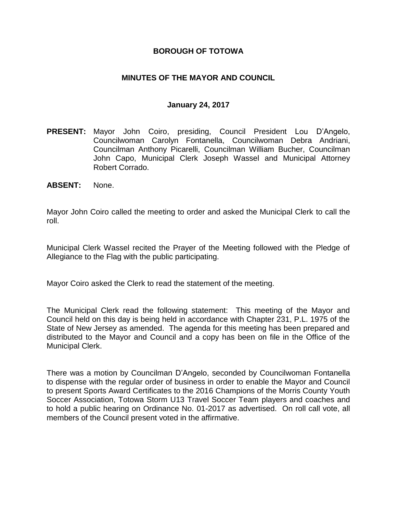### **BOROUGH OF TOTOWA**

### **MINUTES OF THE MAYOR AND COUNCIL**

#### **January 24, 2017**

- **PRESENT:** Mayor John Coiro, presiding, Council President Lou D'Angelo, Councilwoman Carolyn Fontanella, Councilwoman Debra Andriani, Councilman Anthony Picarelli, Councilman William Bucher, Councilman John Capo, Municipal Clerk Joseph Wassel and Municipal Attorney Robert Corrado.
- **ABSENT:** None.

Mayor John Coiro called the meeting to order and asked the Municipal Clerk to call the roll.

Municipal Clerk Wassel recited the Prayer of the Meeting followed with the Pledge of Allegiance to the Flag with the public participating.

Mayor Coiro asked the Clerk to read the statement of the meeting.

The Municipal Clerk read the following statement: This meeting of the Mayor and Council held on this day is being held in accordance with Chapter 231, P.L. 1975 of the State of New Jersey as amended. The agenda for this meeting has been prepared and distributed to the Mayor and Council and a copy has been on file in the Office of the Municipal Clerk.

There was a motion by Councilman D'Angelo, seconded by Councilwoman Fontanella to dispense with the regular order of business in order to enable the Mayor and Council to present Sports Award Certificates to the 2016 Champions of the Morris County Youth Soccer Association, Totowa Storm U13 Travel Soccer Team players and coaches and to hold a public hearing on Ordinance No. 01-2017 as advertised. On roll call vote, all members of the Council present voted in the affirmative.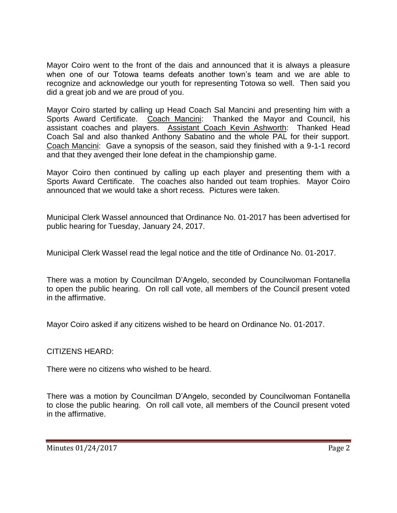Mayor Coiro went to the front of the dais and announced that it is always a pleasure when one of our Totowa teams defeats another town's team and we are able to recognize and acknowledge our youth for representing Totowa so well. Then said you did a great job and we are proud of you.

Mayor Coiro started by calling up Head Coach Sal Mancini and presenting him with a Sports Award Certificate. Coach Mancini: Thanked the Mayor and Council, his assistant coaches and players. Assistant Coach Kevin Ashworth: Thanked Head Coach Sal and also thanked Anthony Sabatino and the whole PAL for their support. Coach Mancini: Gave a synopsis of the season, said they finished with a 9-1-1 record and that they avenged their lone defeat in the championship game.

Mayor Coiro then continued by calling up each player and presenting them with a Sports Award Certificate. The coaches also handed out team trophies. Mayor Coiro announced that we would take a short recess. Pictures were taken.

Municipal Clerk Wassel announced that Ordinance No. 01-2017 has been advertised for public hearing for Tuesday, January 24, 2017.

Municipal Clerk Wassel read the legal notice and the title of Ordinance No. 01-2017.

There was a motion by Councilman D'Angelo, seconded by Councilwoman Fontanella to open the public hearing. On roll call vote, all members of the Council present voted in the affirmative.

Mayor Coiro asked if any citizens wished to be heard on Ordinance No. 01-2017.

CITIZENS HEARD:

There were no citizens who wished to be heard.

There was a motion by Councilman D'Angelo, seconded by Councilwoman Fontanella to close the public hearing. On roll call vote, all members of the Council present voted in the affirmative.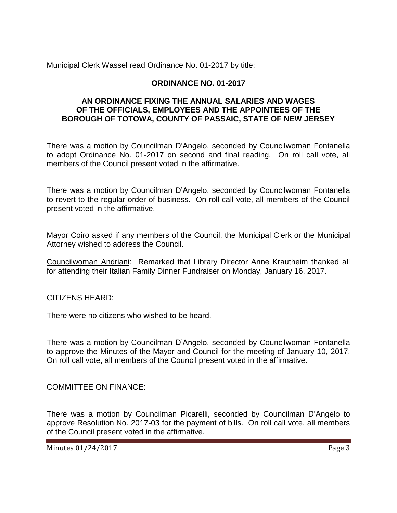Municipal Clerk Wassel read Ordinance No. 01-2017 by title:

# **ORDINANCE NO. 01-2017**

### **AN ORDINANCE FIXING THE ANNUAL SALARIES AND WAGES OF THE OFFICIALS, EMPLOYEES AND THE APPOINTEES OF THE BOROUGH OF TOTOWA, COUNTY OF PASSAIC, STATE OF NEW JERSEY**

There was a motion by Councilman D'Angelo, seconded by Councilwoman Fontanella to adopt Ordinance No. 01-2017 on second and final reading. On roll call vote, all members of the Council present voted in the affirmative.

There was a motion by Councilman D'Angelo, seconded by Councilwoman Fontanella to revert to the regular order of business. On roll call vote, all members of the Council present voted in the affirmative.

Mayor Coiro asked if any members of the Council, the Municipal Clerk or the Municipal Attorney wished to address the Council.

Councilwoman Andriani: Remarked that Library Director Anne Krautheim thanked all for attending their Italian Family Dinner Fundraiser on Monday, January 16, 2017.

CITIZENS HEARD:

There were no citizens who wished to be heard.

There was a motion by Councilman D'Angelo, seconded by Councilwoman Fontanella to approve the Minutes of the Mayor and Council for the meeting of January 10, 2017. On roll call vote, all members of the Council present voted in the affirmative.

COMMITTEE ON FINANCE:

There was a motion by Councilman Picarelli, seconded by Councilman D'Angelo to approve Resolution No. 2017-03 for the payment of bills. On roll call vote, all members of the Council present voted in the affirmative.

Minutes 01/24/2017 Page 3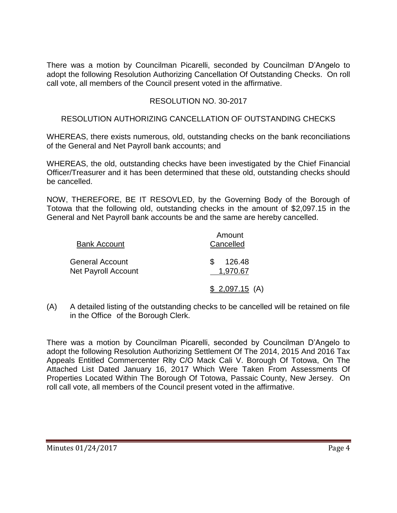There was a motion by Councilman Picarelli, seconded by Councilman D'Angelo to adopt the following Resolution Authorizing Cancellation Of Outstanding Checks. On roll call vote, all members of the Council present voted in the affirmative.

# RESOLUTION NO. 30-2017

### RESOLUTION AUTHORIZING CANCELLATION OF OUTSTANDING CHECKS

WHEREAS, there exists numerous, old, outstanding checks on the bank reconciliations of the General and Net Payroll bank accounts; and

WHEREAS, the old, outstanding checks have been investigated by the Chief Financial Officer/Treasurer and it has been determined that these old, outstanding checks should be cancelled.

NOW, THEREFORE, BE IT RESOVLED, by the Governing Body of the Borough of Totowa that the following old, outstanding checks in the amount of \$2,097.15 in the General and Net Payroll bank accounts be and the same are hereby cancelled.

| <b>Bank Account</b>                                  | Amount<br>Cancelled |  |
|------------------------------------------------------|---------------------|--|
| <b>General Account</b><br><b>Net Payroll Account</b> | 126.48<br>1,970.67  |  |
|                                                      | $$2,097.15$ (A)     |  |

(A) A detailed listing of the outstanding checks to be cancelled will be retained on file in the Office of the Borough Clerk.

There was a motion by Councilman Picarelli, seconded by Councilman D'Angelo to adopt the following Resolution Authorizing Settlement Of The 2014, 2015 And 2016 Tax Appeals Entitled Commercenter Rlty C/O Mack Cali V. Borough Of Totowa, On The Attached List Dated January 16, 2017 Which Were Taken From Assessments Of Properties Located Within The Borough Of Totowa, Passaic County, New Jersey. On roll call vote, all members of the Council present voted in the affirmative.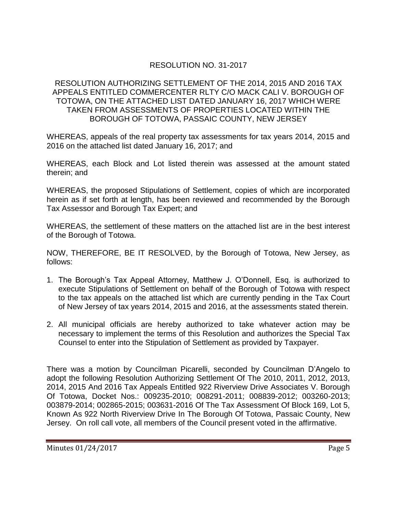# RESOLUTION NO. 31-2017

### RESOLUTION AUTHORIZING SETTLEMENT OF THE 2014, 2015 AND 2016 TAX APPEALS ENTITLED COMMERCENTER RLTY C/O MACK CALI V. BOROUGH OF TOTOWA, ON THE ATTACHED LIST DATED JANUARY 16, 2017 WHICH WERE TAKEN FROM ASSESSMENTS OF PROPERTIES LOCATED WITHIN THE BOROUGH OF TOTOWA, PASSAIC COUNTY, NEW JERSEY

WHEREAS, appeals of the real property tax assessments for tax years 2014, 2015 and 2016 on the attached list dated January 16, 2017; and

WHEREAS, each Block and Lot listed therein was assessed at the amount stated therein; and

WHEREAS, the proposed Stipulations of Settlement, copies of which are incorporated herein as if set forth at length, has been reviewed and recommended by the Borough Tax Assessor and Borough Tax Expert; and

WHEREAS, the settlement of these matters on the attached list are in the best interest of the Borough of Totowa.

NOW, THEREFORE, BE IT RESOLVED, by the Borough of Totowa, New Jersey, as follows:

- 1. The Borough's Tax Appeal Attorney, Matthew J. O'Donnell, Esq. is authorized to execute Stipulations of Settlement on behalf of the Borough of Totowa with respect to the tax appeals on the attached list which are currently pending in the Tax Court of New Jersey of tax years 2014, 2015 and 2016, at the assessments stated therein.
- 2. All municipal officials are hereby authorized to take whatever action may be necessary to implement the terms of this Resolution and authorizes the Special Tax Counsel to enter into the Stipulation of Settlement as provided by Taxpayer.

There was a motion by Councilman Picarelli, seconded by Councilman D'Angelo to adopt the following Resolution Authorizing Settlement Of The 2010, 2011, 2012, 2013, 2014, 2015 And 2016 Tax Appeals Entitled 922 Riverview Drive Associates V. Borough Of Totowa, Docket Nos.: 009235-2010; 008291-2011; 008839-2012; 003260-2013; 003879-2014; 002865-2015; 003631-2016 Of The Tax Assessment Of Block 169, Lot 5, Known As 922 North Riverview Drive In The Borough Of Totowa, Passaic County, New Jersey. On roll call vote, all members of the Council present voted in the affirmative.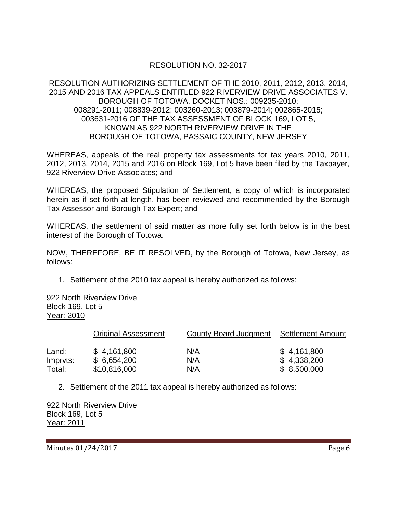# RESOLUTION NO. 32-2017

#### RESOLUTION AUTHORIZING SETTLEMENT OF THE 2010, 2011, 2012, 2013, 2014, 2015 AND 2016 TAX APPEALS ENTITLED 922 RIVERVIEW DRIVE ASSOCIATES V. BOROUGH OF TOTOWA, DOCKET NOS.: 009235-2010; 008291-2011; 008839-2012; 003260-2013; 003879-2014; 002865-2015; 003631-2016 OF THE TAX ASSESSMENT OF BLOCK 169, LOT 5, KNOWN AS 922 NORTH RIVERVIEW DRIVE IN THE BOROUGH OF TOTOWA, PASSAIC COUNTY, NEW JERSEY

WHEREAS, appeals of the real property tax assessments for tax years 2010, 2011, 2012, 2013, 2014, 2015 and 2016 on Block 169, Lot 5 have been filed by the Taxpayer, 922 Riverview Drive Associates; and

WHEREAS, the proposed Stipulation of Settlement, a copy of which is incorporated herein as if set forth at length, has been reviewed and recommended by the Borough Tax Assessor and Borough Tax Expert; and

WHEREAS, the settlement of said matter as more fully set forth below is in the best interest of the Borough of Totowa.

NOW, THEREFORE, BE IT RESOLVED, by the Borough of Totowa, New Jersey, as follows:

1. Settlement of the 2010 tax appeal is hereby authorized as follows:

922 North Riverview Drive Block 169, Lot 5 Year: 2010

|                    | <b>Original Assessment</b>  | County Board Judgment | Settlement Amount          |
|--------------------|-----------------------------|-----------------------|----------------------------|
| Land:              | \$4,161,800                 | N/A                   | \$4,161,800                |
| Imprvts:<br>Total: | \$6,654,200<br>\$10,816,000 | N/A<br>N/A            | \$4,338,200<br>\$8,500,000 |
|                    |                             |                       |                            |

2. Settlement of the 2011 tax appeal is hereby authorized as follows:

922 North Riverview Drive Block 169, Lot 5 Year: 2011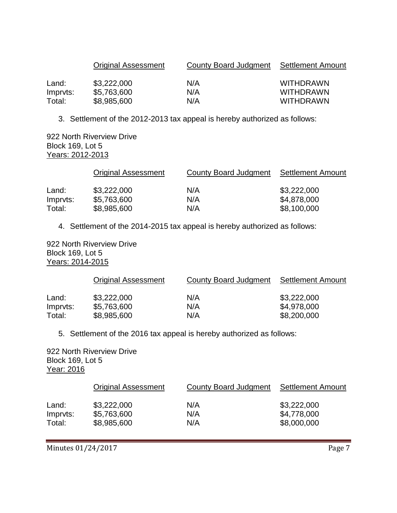|          | <b>Original Assessment</b> | County Board Judgment Settlement Amount |                  |
|----------|----------------------------|-----------------------------------------|------------------|
| Land:    | \$3,222,000                | N/A                                     | <b>WITHDRAWN</b> |
| Impryts: | \$5,763,600                | N/A                                     | <b>WITHDRAWN</b> |
| Total:   | \$8,985,600                | N/A                                     | <b>WITHDRAWN</b> |

3. Settlement of the 2012-2013 tax appeal is hereby authorized as follows:

922 North Riverview Drive Block 169, Lot 5 Years: 2012-2013

|          | <b>Original Assessment</b> | County Board Judgment | Settlement Amount |
|----------|----------------------------|-----------------------|-------------------|
| Land:    | \$3,222,000                | N/A                   | \$3,222,000       |
| Impryts: | \$5,763,600                | N/A                   | \$4,878,000       |
| Total:   | \$8,985,600                | N/A                   | \$8,100,000       |

4. Settlement of the 2014-2015 tax appeal is hereby authorized as follows:

922 North Riverview Drive Block 169, Lot 5 Years: 2014-2015

|          | <b>Original Assessment</b> | County Board Judgment | Settlement Amount |
|----------|----------------------------|-----------------------|-------------------|
| Land:    | \$3,222,000                | N/A                   | \$3,222,000       |
| Impryts: | \$5,763,600                | N/A                   | \$4,978,000       |
| Total:   | \$8,985,600                | N/A                   | \$8,200,000       |

5. Settlement of the 2016 tax appeal is hereby authorized as follows:

922 North Riverview Drive Block 169, Lot 5 Year: 2016

|          | <b>Original Assessment</b> | County Board Judgment | Settlement Amount |
|----------|----------------------------|-----------------------|-------------------|
| Land:    | \$3,222,000                | N/A                   | \$3,222,000       |
| Impryts: | \$5,763,600                | N/A                   | \$4,778,000       |
| Total:   | \$8,985,600                | N/A                   | \$8,000,000       |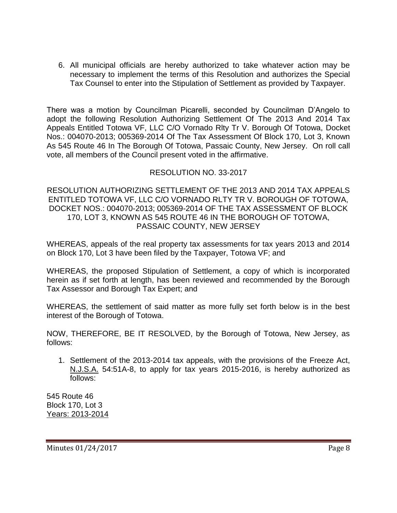6. All municipal officials are hereby authorized to take whatever action may be necessary to implement the terms of this Resolution and authorizes the Special Tax Counsel to enter into the Stipulation of Settlement as provided by Taxpayer.

There was a motion by Councilman Picarelli, seconded by Councilman D'Angelo to adopt the following Resolution Authorizing Settlement Of The 2013 And 2014 Tax Appeals Entitled Totowa VF, LLC C/O Vornado Rlty Tr V. Borough Of Totowa, Docket Nos.: 004070-2013; 005369-2014 Of The Tax Assessment Of Block 170, Lot 3, Known As 545 Route 46 In The Borough Of Totowa, Passaic County, New Jersey. On roll call vote, all members of the Council present voted in the affirmative.

## RESOLUTION NO. 33-2017

RESOLUTION AUTHORIZING SETTLEMENT OF THE 2013 AND 2014 TAX APPEALS ENTITLED TOTOWA VF, LLC C/O VORNADO RLTY TR V. BOROUGH OF TOTOWA, DOCKET NOS.: 004070-2013; 005369-2014 OF THE TAX ASSESSMENT OF BLOCK 170, LOT 3, KNOWN AS 545 ROUTE 46 IN THE BOROUGH OF TOTOWA, PASSAIC COUNTY, NEW JERSEY

WHEREAS, appeals of the real property tax assessments for tax years 2013 and 2014 on Block 170, Lot 3 have been filed by the Taxpayer, Totowa VF; and

WHEREAS, the proposed Stipulation of Settlement, a copy of which is incorporated herein as if set forth at length, has been reviewed and recommended by the Borough Tax Assessor and Borough Tax Expert; and

WHEREAS, the settlement of said matter as more fully set forth below is in the best interest of the Borough of Totowa.

NOW, THEREFORE, BE IT RESOLVED, by the Borough of Totowa, New Jersey, as follows:

1. Settlement of the 2013-2014 tax appeals, with the provisions of the Freeze Act, N.J.S.A. 54:51A-8, to apply for tax years 2015-2016, is hereby authorized as follows:

545 Route 46 Block 170, Lot 3 Years: 2013-2014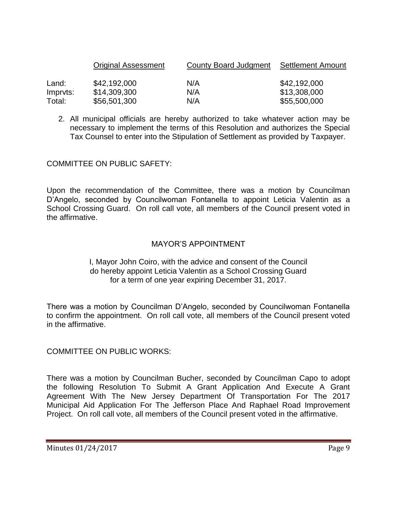|          | <b>Original Assessment</b> | County Board Judgment | Settlement Amount |
|----------|----------------------------|-----------------------|-------------------|
| Land:    | \$42,192,000               | N/A                   | \$42,192,000      |
| Impryts: | \$14,309,300               | N/A                   | \$13,308,000      |
| Total:   | \$56,501,300               | N/A                   | \$55,500,000      |

2. All municipal officials are hereby authorized to take whatever action may be necessary to implement the terms of this Resolution and authorizes the Special Tax Counsel to enter into the Stipulation of Settlement as provided by Taxpayer.

COMMITTEE ON PUBLIC SAFETY:

Upon the recommendation of the Committee, there was a motion by Councilman D'Angelo, seconded by Councilwoman Fontanella to appoint Leticia Valentin as a School Crossing Guard. On roll call vote, all members of the Council present voted in the affirmative.

### MAYOR'S APPOINTMENT

#### I, Mayor John Coiro, with the advice and consent of the Council do hereby appoint Leticia Valentin as a School Crossing Guard for a term of one year expiring December 31, 2017.

There was a motion by Councilman D'Angelo, seconded by Councilwoman Fontanella to confirm the appointment. On roll call vote, all members of the Council present voted in the affirmative.

COMMITTEE ON PUBLIC WORKS:

There was a motion by Councilman Bucher, seconded by Councilman Capo to adopt the following Resolution To Submit A Grant Application And Execute A Grant Agreement With The New Jersey Department Of Transportation For The 2017 Municipal Aid Application For The Jefferson Place And Raphael Road Improvement Project. On roll call vote, all members of the Council present voted in the affirmative.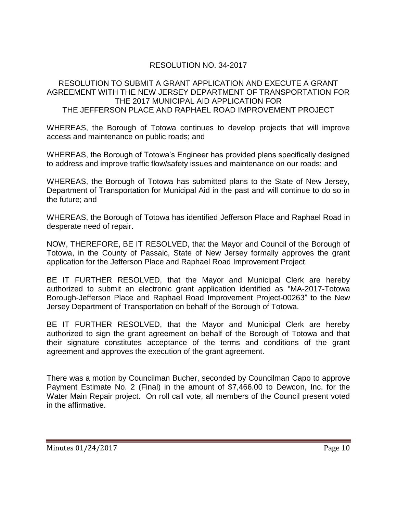# RESOLUTION NO. 34-2017

#### RESOLUTION TO SUBMIT A GRANT APPLICATION AND EXECUTE A GRANT AGREEMENT WITH THE NEW JERSEY DEPARTMENT OF TRANSPORTATION FOR THE 2017 MUNICIPAL AID APPLICATION FOR THE JEFFERSON PLACE AND RAPHAEL ROAD IMPROVEMENT PROJECT

WHEREAS, the Borough of Totowa continues to develop projects that will improve access and maintenance on public roads; and

WHEREAS, the Borough of Totowa's Engineer has provided plans specifically designed to address and improve traffic flow/safety issues and maintenance on our roads; and

WHEREAS, the Borough of Totowa has submitted plans to the State of New Jersey, Department of Transportation for Municipal Aid in the past and will continue to do so in the future; and

WHEREAS, the Borough of Totowa has identified Jefferson Place and Raphael Road in desperate need of repair.

NOW, THEREFORE, BE IT RESOLVED, that the Mayor and Council of the Borough of Totowa, in the County of Passaic, State of New Jersey formally approves the grant application for the Jefferson Place and Raphael Road Improvement Project.

BE IT FURTHER RESOLVED, that the Mayor and Municipal Clerk are hereby authorized to submit an electronic grant application identified as "MA-2017-Totowa Borough-Jefferson Place and Raphael Road Improvement Project-00263" to the New Jersey Department of Transportation on behalf of the Borough of Totowa.

BE IT FURTHER RESOLVED, that the Mayor and Municipal Clerk are hereby authorized to sign the grant agreement on behalf of the Borough of Totowa and that their signature constitutes acceptance of the terms and conditions of the grant agreement and approves the execution of the grant agreement.

There was a motion by Councilman Bucher, seconded by Councilman Capo to approve Payment Estimate No. 2 (Final) in the amount of \$7,466.00 to Dewcon, Inc. for the Water Main Repair project. On roll call vote, all members of the Council present voted in the affirmative.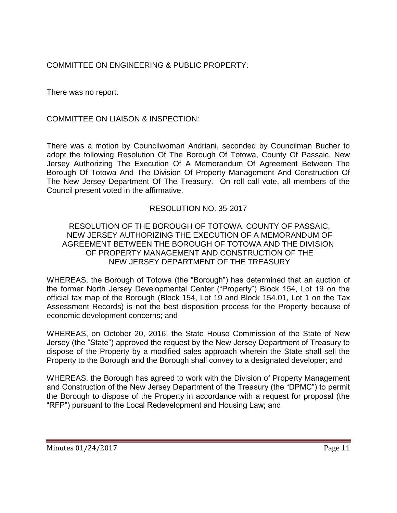COMMITTEE ON ENGINEERING & PUBLIC PROPERTY:

There was no report.

COMMITTEE ON LIAISON & INSPECTION:

There was a motion by Councilwoman Andriani, seconded by Councilman Bucher to adopt the following Resolution Of The Borough Of Totowa, County Of Passaic, New Jersey Authorizing The Execution Of A Memorandum Of Agreement Between The Borough Of Totowa And The Division Of Property Management And Construction Of The New Jersey Department Of The Treasury. On roll call vote, all members of the Council present voted in the affirmative.

## RESOLUTION NO. 35-2017

### RESOLUTION OF THE BOROUGH OF TOTOWA, COUNTY OF PASSAIC, NEW JERSEY AUTHORIZING THE EXECUTION OF A MEMORANDUM OF AGREEMENT BETWEEN THE BOROUGH OF TOTOWA AND THE DIVISION OF PROPERTY MANAGEMENT AND CONSTRUCTION OF THE NEW JERSEY DEPARTMENT OF THE TREASURY

WHEREAS, the Borough of Totowa (the "Borough") has determined that an auction of the former North Jersey Developmental Center ("Property") Block 154, Lot 19 on the official tax map of the Borough (Block 154, Lot 19 and Block 154.01, Lot 1 on the Tax Assessment Records) is not the best disposition process for the Property because of economic development concerns; and

WHEREAS, on October 20, 2016, the State House Commission of the State of New Jersey (the "State") approved the request by the New Jersey Department of Treasury to dispose of the Property by a modified sales approach wherein the State shall sell the Property to the Borough and the Borough shall convey to a designated developer; and

WHEREAS, the Borough has agreed to work with the Division of Property Management and Construction of the New Jersey Department of the Treasury (the "DPMC") to permit the Borough to dispose of the Property in accordance with a request for proposal (the "RFP") pursuant to the Local Redevelopment and Housing Law; and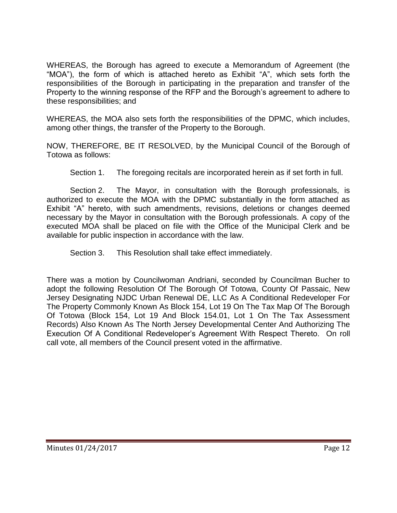WHEREAS, the Borough has agreed to execute a Memorandum of Agreement (the "MOA"), the form of which is attached hereto as Exhibit "A", which sets forth the responsibilities of the Borough in participating in the preparation and transfer of the Property to the winning response of the RFP and the Borough's agreement to adhere to these responsibilities; and

WHEREAS, the MOA also sets forth the responsibilities of the DPMC, which includes, among other things, the transfer of the Property to the Borough.

NOW, THEREFORE, BE IT RESOLVED, by the Municipal Council of the Borough of Totowa as follows:

Section 1. The foregoing recitals are incorporated herein as if set forth in full.

Section 2. The Mayor, in consultation with the Borough professionals, is authorized to execute the MOA with the DPMC substantially in the form attached as Exhibit "A" hereto, with such amendments, revisions, deletions or changes deemed necessary by the Mayor in consultation with the Borough professionals. A copy of the executed MOA shall be placed on file with the Office of the Municipal Clerk and be available for public inspection in accordance with the law.

Section 3. This Resolution shall take effect immediately.

There was a motion by Councilwoman Andriani, seconded by Councilman Bucher to adopt the following Resolution Of The Borough Of Totowa, County Of Passaic, New Jersey Designating NJDC Urban Renewal DE, LLC As A Conditional Redeveloper For The Property Commonly Known As Block 154, Lot 19 On The Tax Map Of The Borough Of Totowa (Block 154, Lot 19 And Block 154.01, Lot 1 On The Tax Assessment Records) Also Known As The North Jersey Developmental Center And Authorizing The Execution Of A Conditional Redeveloper's Agreement With Respect Thereto. On roll call vote, all members of the Council present voted in the affirmative.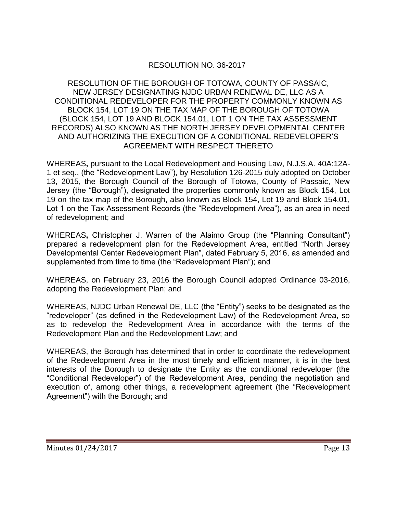# RESOLUTION NO. 36-2017

#### RESOLUTION OF THE BOROUGH OF TOTOWA, COUNTY OF PASSAIC, NEW JERSEY DESIGNATING NJDC URBAN RENEWAL DE, LLC AS A CONDITIONAL REDEVELOPER FOR THE PROPERTY COMMONLY KNOWN AS BLOCK 154, LOT 19 ON THE TAX MAP OF THE BOROUGH OF TOTOWA (BLOCK 154, LOT 19 AND BLOCK 154.01, LOT 1 ON THE TAX ASSESSMENT RECORDS) ALSO KNOWN AS THE NORTH JERSEY DEVELOPMENTAL CENTER AND AUTHORIZING THE EXECUTION OF A CONDITIONAL REDEVELOPER'S AGREEMENT WITH RESPECT THERETO

WHEREAS**,** pursuant to the Local Redevelopment and Housing Law, N.J.S.A. 40A:12A-1 et seq*.*, (the "Redevelopment Law"), by Resolution 126-2015 duly adopted on October 13, 2015, the Borough Council of the Borough of Totowa, County of Passaic, New Jersey (the "Borough"), designated the properties commonly known as Block 154, Lot 19 on the tax map of the Borough, also known as Block 154, Lot 19 and Block 154.01, Lot 1 on the Tax Assessment Records (the "Redevelopment Area"), as an area in need of redevelopment; and

WHEREAS**,** Christopher J. Warren of the Alaimo Group (the "Planning Consultant") prepared a redevelopment plan for the Redevelopment Area, entitled "North Jersey Developmental Center Redevelopment Plan", dated February 5, 2016, as amended and supplemented from time to time (the "Redevelopment Plan"); and

WHEREAS, on February 23, 2016 the Borough Council adopted Ordinance 03-2016, adopting the Redevelopment Plan; and

WHEREAS, NJDC Urban Renewal DE, LLC (the "Entity") seeks to be designated as the "redeveloper" (as defined in the Redevelopment Law) of the Redevelopment Area, so as to redevelop the Redevelopment Area in accordance with the terms of the Redevelopment Plan and the Redevelopment Law; and

WHEREAS, the Borough has determined that in order to coordinate the redevelopment of the Redevelopment Area in the most timely and efficient manner, it is in the best interests of the Borough to designate the Entity as the conditional redeveloper (the "Conditional Redeveloper") of the Redevelopment Area, pending the negotiation and execution of, among other things, a redevelopment agreement (the "Redevelopment Agreement") with the Borough; and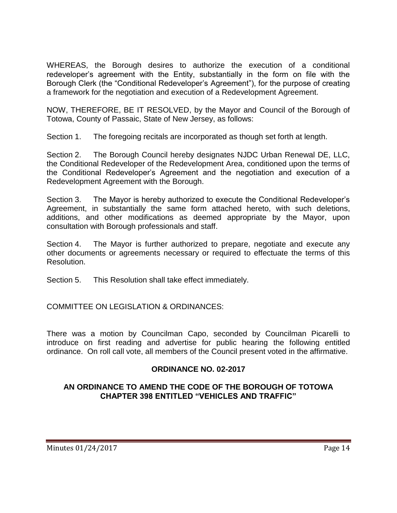WHEREAS, the Borough desires to authorize the execution of a conditional redeveloper's agreement with the Entity, substantially in the form on file with the Borough Clerk (the "Conditional Redeveloper's Agreement"), for the purpose of creating a framework for the negotiation and execution of a Redevelopment Agreement.

NOW, THEREFORE, BE IT RESOLVED, by the Mayor and Council of the Borough of Totowa, County of Passaic, State of New Jersey, as follows:

Section 1. The foregoing recitals are incorporated as though set forth at length.

Section 2. The Borough Council hereby designates NJDC Urban Renewal DE, LLC, the Conditional Redeveloper of the Redevelopment Area, conditioned upon the terms of the Conditional Redeveloper's Agreement and the negotiation and execution of a Redevelopment Agreement with the Borough.

Section 3. The Mayor is hereby authorized to execute the Conditional Redeveloper's Agreement, in substantially the same form attached hereto, with such deletions, additions, and other modifications as deemed appropriate by the Mayor, upon consultation with Borough professionals and staff.

Section 4. The Mayor is further authorized to prepare, negotiate and execute any other documents or agreements necessary or required to effectuate the terms of this Resolution.

Section 5. This Resolution shall take effect immediately.

COMMITTEE ON LEGISLATION & ORDINANCES:

There was a motion by Councilman Capo, seconded by Councilman Picarelli to introduce on first reading and advertise for public hearing the following entitled ordinance. On roll call vote, all members of the Council present voted in the affirmative.

## **ORDINANCE NO. 02-2017**

## **AN ORDINANCE TO AMEND THE CODE OF THE BOROUGH OF TOTOWA CHAPTER 398 ENTITLED "VEHICLES AND TRAFFIC"**